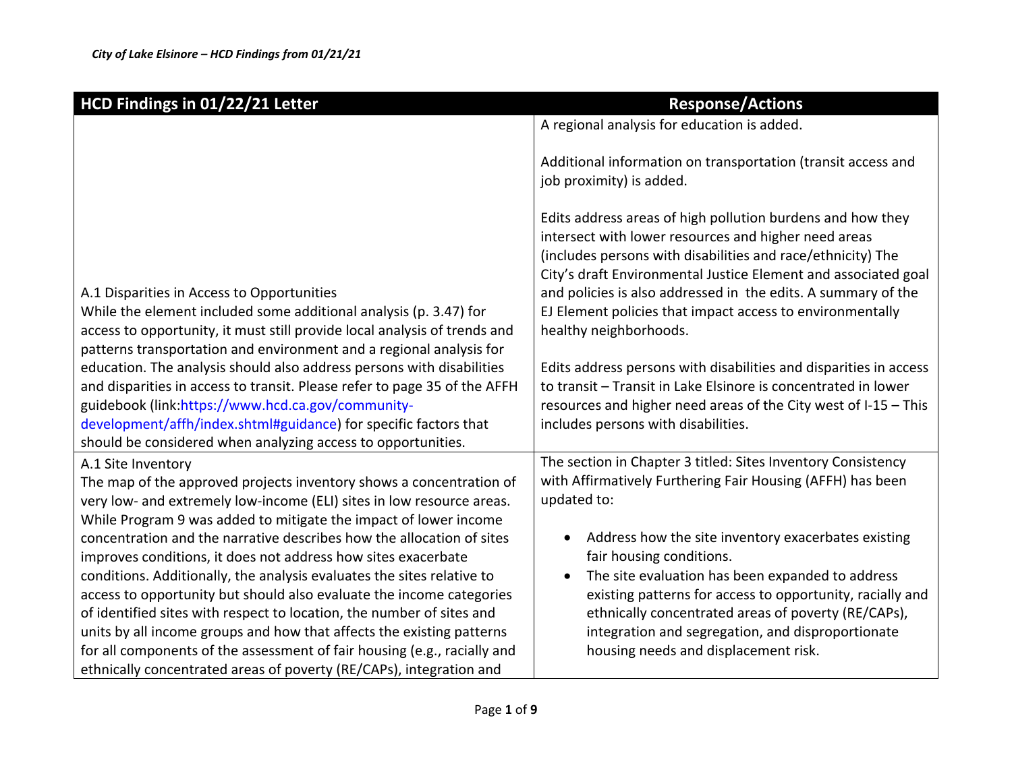| HCD Findings in 01/22/21 Letter                                                                                                                                                                                                                                                                                                                                                                                                                                                                                                                                                               | <b>Response/Actions</b>                                                                                                                                                                                                                                                                                                                                                                                     |
|-----------------------------------------------------------------------------------------------------------------------------------------------------------------------------------------------------------------------------------------------------------------------------------------------------------------------------------------------------------------------------------------------------------------------------------------------------------------------------------------------------------------------------------------------------------------------------------------------|-------------------------------------------------------------------------------------------------------------------------------------------------------------------------------------------------------------------------------------------------------------------------------------------------------------------------------------------------------------------------------------------------------------|
|                                                                                                                                                                                                                                                                                                                                                                                                                                                                                                                                                                                               | A regional analysis for education is added.                                                                                                                                                                                                                                                                                                                                                                 |
|                                                                                                                                                                                                                                                                                                                                                                                                                                                                                                                                                                                               | Additional information on transportation (transit access and<br>job proximity) is added.                                                                                                                                                                                                                                                                                                                    |
| A.1 Disparities in Access to Opportunities<br>While the element included some additional analysis (p. 3.47) for<br>access to opportunity, it must still provide local analysis of trends and<br>patterns transportation and environment and a regional analysis for                                                                                                                                                                                                                                                                                                                           | Edits address areas of high pollution burdens and how they<br>intersect with lower resources and higher need areas<br>(includes persons with disabilities and race/ethnicity) The<br>City's draft Environmental Justice Element and associated goal<br>and policies is also addressed in the edits. A summary of the<br>EJ Element policies that impact access to environmentally<br>healthy neighborhoods. |
| education. The analysis should also address persons with disabilities<br>and disparities in access to transit. Please refer to page 35 of the AFFH<br>guidebook (link:https://www.hcd.ca.gov/community-<br>development/affh/index.shtml#guidance) for specific factors that<br>should be considered when analyzing access to opportunities.                                                                                                                                                                                                                                                   | Edits address persons with disabilities and disparities in access<br>to transit - Transit in Lake Elsinore is concentrated in lower<br>resources and higher need areas of the City west of I-15 - This<br>includes persons with disabilities.                                                                                                                                                               |
| A.1 Site Inventory<br>The map of the approved projects inventory shows a concentration of<br>very low- and extremely low-income (ELI) sites in low resource areas.<br>While Program 9 was added to mitigate the impact of lower income                                                                                                                                                                                                                                                                                                                                                        | The section in Chapter 3 titled: Sites Inventory Consistency<br>with Affirmatively Furthering Fair Housing (AFFH) has been<br>updated to:                                                                                                                                                                                                                                                                   |
| concentration and the narrative describes how the allocation of sites<br>improves conditions, it does not address how sites exacerbate<br>conditions. Additionally, the analysis evaluates the sites relative to<br>access to opportunity but should also evaluate the income categories<br>of identified sites with respect to location, the number of sites and<br>units by all income groups and how that affects the existing patterns<br>for all components of the assessment of fair housing (e.g., racially and<br>ethnically concentrated areas of poverty (RE/CAPs), integration and | Address how the site inventory exacerbates existing<br>$\bullet$<br>fair housing conditions.<br>The site evaluation has been expanded to address<br>$\bullet$<br>existing patterns for access to opportunity, racially and<br>ethnically concentrated areas of poverty (RE/CAPs),<br>integration and segregation, and disproportionate<br>housing needs and displacement risk.                              |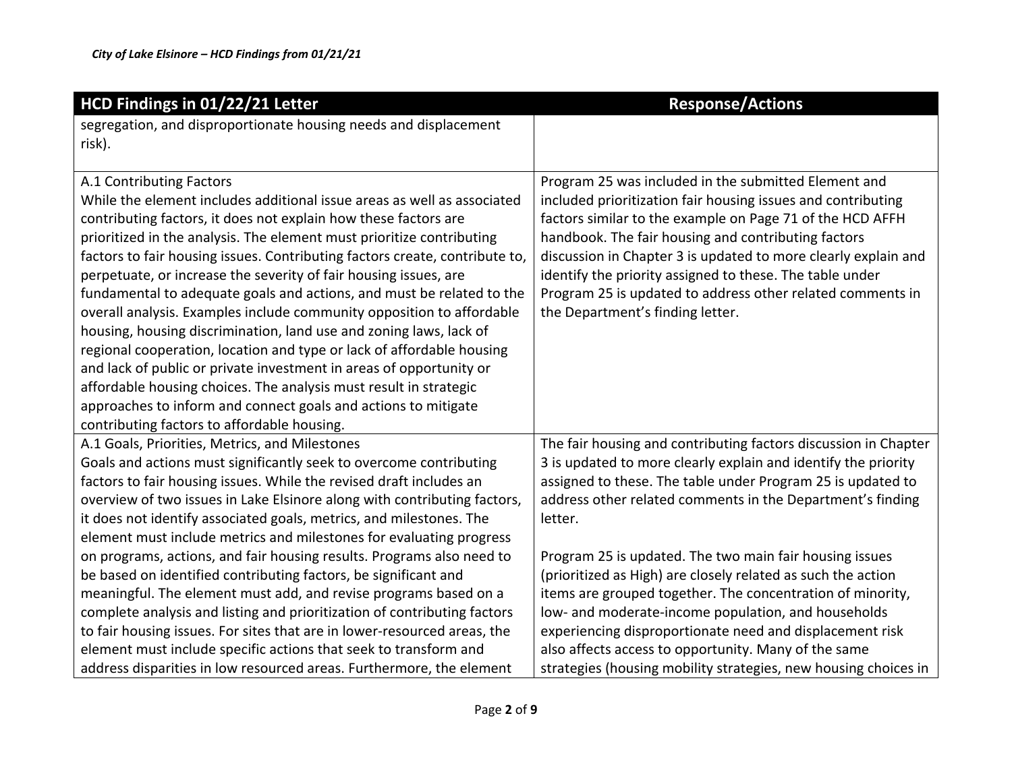| HCD Findings in 01/22/21 Letter                                             | <b>Response/Actions</b>                                         |
|-----------------------------------------------------------------------------|-----------------------------------------------------------------|
| segregation, and disproportionate housing needs and displacement            |                                                                 |
| risk).                                                                      |                                                                 |
|                                                                             |                                                                 |
| A.1 Contributing Factors                                                    | Program 25 was included in the submitted Element and            |
| While the element includes additional issue areas as well as associated     | included prioritization fair housing issues and contributing    |
| contributing factors, it does not explain how these factors are             | factors similar to the example on Page 71 of the HCD AFFH       |
| prioritized in the analysis. The element must prioritize contributing       | handbook. The fair housing and contributing factors             |
| factors to fair housing issues. Contributing factors create, contribute to, | discussion in Chapter 3 is updated to more clearly explain and  |
| perpetuate, or increase the severity of fair housing issues, are            | identify the priority assigned to these. The table under        |
| fundamental to adequate goals and actions, and must be related to the       | Program 25 is updated to address other related comments in      |
| overall analysis. Examples include community opposition to affordable       | the Department's finding letter.                                |
| housing, housing discrimination, land use and zoning laws, lack of          |                                                                 |
| regional cooperation, location and type or lack of affordable housing       |                                                                 |
| and lack of public or private investment in areas of opportunity or         |                                                                 |
| affordable housing choices. The analysis must result in strategic           |                                                                 |
| approaches to inform and connect goals and actions to mitigate              |                                                                 |
| contributing factors to affordable housing.                                 |                                                                 |
| A.1 Goals, Priorities, Metrics, and Milestones                              | The fair housing and contributing factors discussion in Chapter |
| Goals and actions must significantly seek to overcome contributing          | 3 is updated to more clearly explain and identify the priority  |
| factors to fair housing issues. While the revised draft includes an         | assigned to these. The table under Program 25 is updated to     |
| overview of two issues in Lake Elsinore along with contributing factors,    | address other related comments in the Department's finding      |
| it does not identify associated goals, metrics, and milestones. The         | letter.                                                         |
| element must include metrics and milestones for evaluating progress         |                                                                 |
| on programs, actions, and fair housing results. Programs also need to       | Program 25 is updated. The two main fair housing issues         |
| be based on identified contributing factors, be significant and             | (prioritized as High) are closely related as such the action    |
| meaningful. The element must add, and revise programs based on a            | items are grouped together. The concentration of minority,      |
| complete analysis and listing and prioritization of contributing factors    | low- and moderate-income population, and households             |
| to fair housing issues. For sites that are in lower-resourced areas, the    | experiencing disproportionate need and displacement risk        |
| element must include specific actions that seek to transform and            | also affects access to opportunity. Many of the same            |
| address disparities in low resourced areas. Furthermore, the element        | strategies (housing mobility strategies, new housing choices in |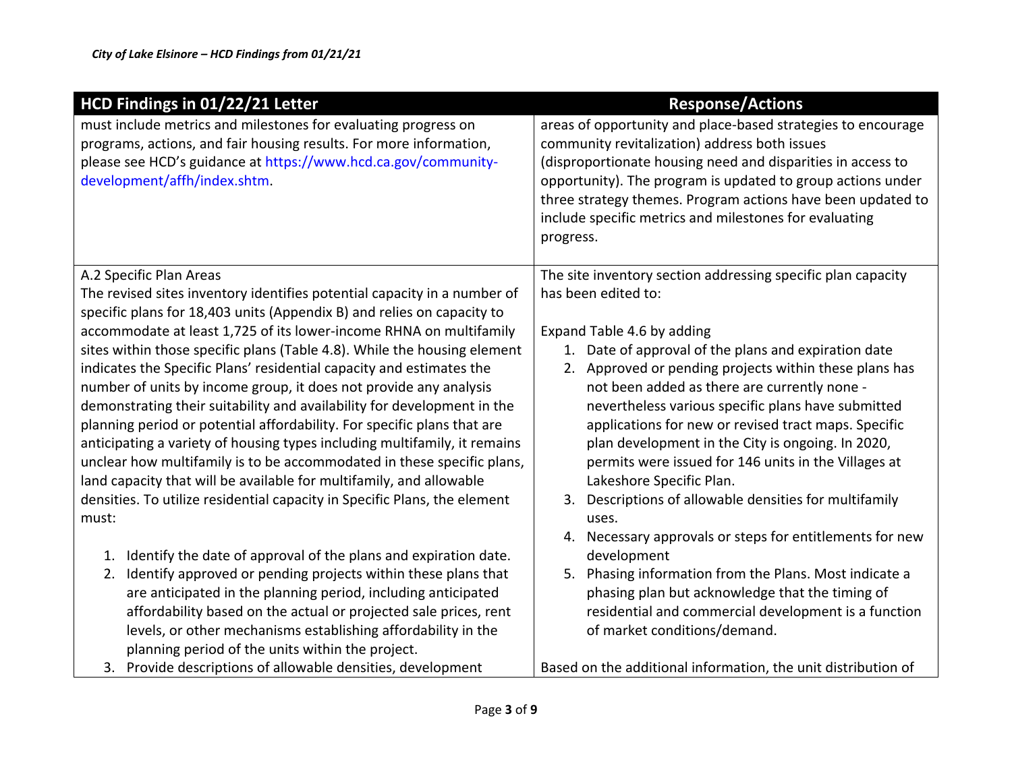| HCD Findings in 01/22/21 Letter                                                                                                                                                                        | <b>Response/Actions</b>                                                                                                                                                                           |
|--------------------------------------------------------------------------------------------------------------------------------------------------------------------------------------------------------|---------------------------------------------------------------------------------------------------------------------------------------------------------------------------------------------------|
| must include metrics and milestones for evaluating progress on<br>programs, actions, and fair housing results. For more information,<br>please see HCD's guidance at https://www.hcd.ca.gov/community- | areas of opportunity and place-based strategies to encourage<br>community revitalization) address both issues<br>(disproportionate housing need and disparities in access to                      |
| development/affh/index.shtm.                                                                                                                                                                           | opportunity). The program is updated to group actions under<br>three strategy themes. Program actions have been updated to<br>include specific metrics and milestones for evaluating<br>progress. |
| A.2 Specific Plan Areas                                                                                                                                                                                | The site inventory section addressing specific plan capacity                                                                                                                                      |
| The revised sites inventory identifies potential capacity in a number of                                                                                                                               | has been edited to:                                                                                                                                                                               |
| specific plans for 18,403 units (Appendix B) and relies on capacity to                                                                                                                                 |                                                                                                                                                                                                   |
| accommodate at least 1,725 of its lower-income RHNA on multifamily                                                                                                                                     | Expand Table 4.6 by adding                                                                                                                                                                        |
| sites within those specific plans (Table 4.8). While the housing element                                                                                                                               | Date of approval of the plans and expiration date<br>1.                                                                                                                                           |
| indicates the Specific Plans' residential capacity and estimates the                                                                                                                                   | Approved or pending projects within these plans has<br>2.                                                                                                                                         |
| number of units by income group, it does not provide any analysis<br>demonstrating their suitability and availability for development in the                                                           | not been added as there are currently none -<br>nevertheless various specific plans have submitted                                                                                                |
| planning period or potential affordability. For specific plans that are                                                                                                                                | applications for new or revised tract maps. Specific                                                                                                                                              |
| anticipating a variety of housing types including multifamily, it remains                                                                                                                              | plan development in the City is ongoing. In 2020,                                                                                                                                                 |
| unclear how multifamily is to be accommodated in these specific plans,                                                                                                                                 | permits were issued for 146 units in the Villages at                                                                                                                                              |
| land capacity that will be available for multifamily, and allowable                                                                                                                                    | Lakeshore Specific Plan.                                                                                                                                                                          |
| densities. To utilize residential capacity in Specific Plans, the element                                                                                                                              | Descriptions of allowable densities for multifamily<br>3.                                                                                                                                         |
| must:                                                                                                                                                                                                  | uses.                                                                                                                                                                                             |
|                                                                                                                                                                                                        | Necessary approvals or steps for entitlements for new<br>4.                                                                                                                                       |
| Identify the date of approval of the plans and expiration date.<br>1.                                                                                                                                  | development                                                                                                                                                                                       |
| Identify approved or pending projects within these plans that<br>2.                                                                                                                                    | Phasing information from the Plans. Most indicate a<br>5.                                                                                                                                         |
| are anticipated in the planning period, including anticipated                                                                                                                                          | phasing plan but acknowledge that the timing of                                                                                                                                                   |
| affordability based on the actual or projected sale prices, rent                                                                                                                                       | residential and commercial development is a function                                                                                                                                              |
| levels, or other mechanisms establishing affordability in the                                                                                                                                          | of market conditions/demand.                                                                                                                                                                      |
| planning period of the units within the project.                                                                                                                                                       |                                                                                                                                                                                                   |
| 3. Provide descriptions of allowable densities, development                                                                                                                                            | Based on the additional information, the unit distribution of                                                                                                                                     |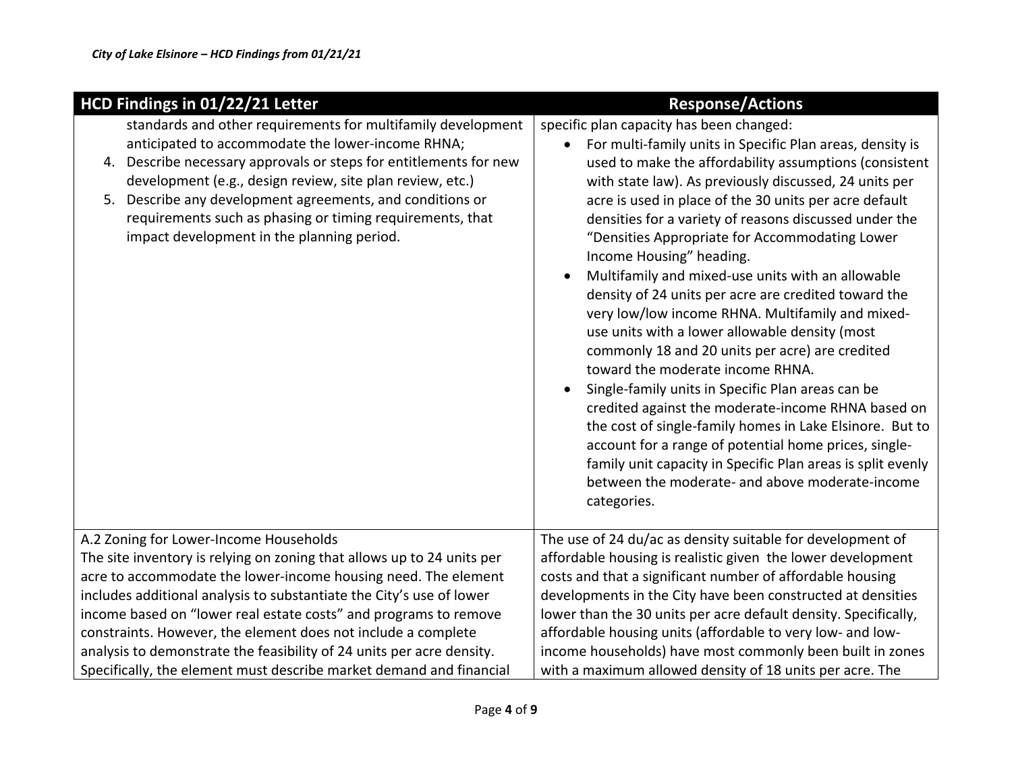| HCD Findings in 01/22/21 Letter                                        | <b>Response/Actions</b>                                                                                        |
|------------------------------------------------------------------------|----------------------------------------------------------------------------------------------------------------|
| standards and other requirements for multifamily development           | specific plan capacity has been changed:                                                                       |
| anticipated to accommodate the lower-income RHNA;                      | For multi-family units in Specific Plan areas, density is<br>$\bullet$                                         |
| Describe necessary approvals or steps for entitlements for new<br>4.   | used to make the affordability assumptions (consistent                                                         |
| development (e.g., design review, site plan review, etc.)              | with state law). As previously discussed, 24 units per                                                         |
| Describe any development agreements, and conditions or<br>5.           | acre is used in place of the 30 units per acre default                                                         |
| requirements such as phasing or timing requirements, that              | densities for a variety of reasons discussed under the                                                         |
| impact development in the planning period.                             | "Densities Appropriate for Accommodating Lower                                                                 |
|                                                                        | Income Housing" heading.                                                                                       |
|                                                                        | Multifamily and mixed-use units with an allowable<br>$\bullet$                                                 |
|                                                                        | density of 24 units per acre are credited toward the                                                           |
|                                                                        | very low/low income RHNA. Multifamily and mixed-                                                               |
|                                                                        | use units with a lower allowable density (most                                                                 |
|                                                                        | commonly 18 and 20 units per acre) are credited                                                                |
|                                                                        | toward the moderate income RHNA.                                                                               |
|                                                                        | Single-family units in Specific Plan areas can be                                                              |
|                                                                        | credited against the moderate-income RHNA based on<br>the cost of single-family homes in Lake Elsinore. But to |
|                                                                        | account for a range of potential home prices, single-                                                          |
|                                                                        | family unit capacity in Specific Plan areas is split evenly                                                    |
|                                                                        | between the moderate- and above moderate-income                                                                |
|                                                                        | categories.                                                                                                    |
|                                                                        |                                                                                                                |
| A.2 Zoning for Lower-Income Households                                 | The use of 24 du/ac as density suitable for development of                                                     |
| The site inventory is relying on zoning that allows up to 24 units per | affordable housing is realistic given the lower development                                                    |
| acre to accommodate the lower-income housing need. The element         | costs and that a significant number of affordable housing                                                      |
| includes additional analysis to substantiate the City's use of lower   | developments in the City have been constructed at densities                                                    |
| income based on "lower real estate costs" and programs to remove       | lower than the 30 units per acre default density. Specifically,                                                |
| constraints. However, the element does not include a complete          | affordable housing units (affordable to very low- and low-                                                     |
| analysis to demonstrate the feasibility of 24 units per acre density.  | income households) have most commonly been built in zones                                                      |
| Specifically, the element must describe market demand and financial    | with a maximum allowed density of 18 units per acre. The                                                       |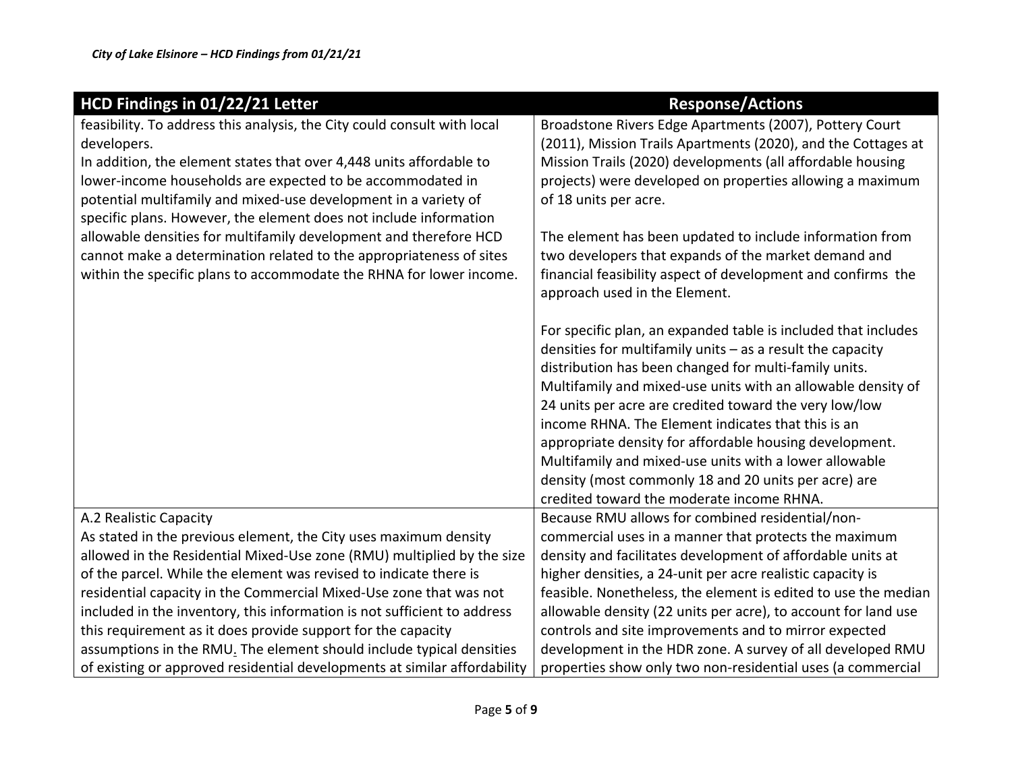| HCD Findings in 01/22/21 Letter                                           | <b>Response/Actions</b>                                        |
|---------------------------------------------------------------------------|----------------------------------------------------------------|
| feasibility. To address this analysis, the City could consult with local  | Broadstone Rivers Edge Apartments (2007), Pottery Court        |
| developers.                                                               | (2011), Mission Trails Apartments (2020), and the Cottages at  |
| In addition, the element states that over 4,448 units affordable to       | Mission Trails (2020) developments (all affordable housing     |
| lower-income households are expected to be accommodated in                | projects) were developed on properties allowing a maximum      |
| potential multifamily and mixed-use development in a variety of           | of 18 units per acre.                                          |
| specific plans. However, the element does not include information         |                                                                |
| allowable densities for multifamily development and therefore HCD         | The element has been updated to include information from       |
| cannot make a determination related to the appropriateness of sites       | two developers that expands of the market demand and           |
| within the specific plans to accommodate the RHNA for lower income.       | financial feasibility aspect of development and confirms the   |
|                                                                           | approach used in the Element.                                  |
|                                                                           |                                                                |
|                                                                           | For specific plan, an expanded table is included that includes |
|                                                                           | densities for multifamily units $-$ as a result the capacity   |
|                                                                           | distribution has been changed for multi-family units.          |
|                                                                           | Multifamily and mixed-use units with an allowable density of   |
|                                                                           | 24 units per acre are credited toward the very low/low         |
|                                                                           | income RHNA. The Element indicates that this is an             |
|                                                                           | appropriate density for affordable housing development.        |
|                                                                           | Multifamily and mixed-use units with a lower allowable         |
|                                                                           | density (most commonly 18 and 20 units per acre) are           |
|                                                                           | credited toward the moderate income RHNA.                      |
| A.2 Realistic Capacity                                                    | Because RMU allows for combined residential/non-               |
| As stated in the previous element, the City uses maximum density          | commercial uses in a manner that protects the maximum          |
| allowed in the Residential Mixed-Use zone (RMU) multiplied by the size    | density and facilitates development of affordable units at     |
| of the parcel. While the element was revised to indicate there is         | higher densities, a 24-unit per acre realistic capacity is     |
| residential capacity in the Commercial Mixed-Use zone that was not        | feasible. Nonetheless, the element is edited to use the median |
| included in the inventory, this information is not sufficient to address  | allowable density (22 units per acre), to account for land use |
| this requirement as it does provide support for the capacity              | controls and site improvements and to mirror expected          |
| assumptions in the RMU. The element should include typical densities      | development in the HDR zone. A survey of all developed RMU     |
| of existing or approved residential developments at similar affordability | properties show only two non-residential uses (a commercial    |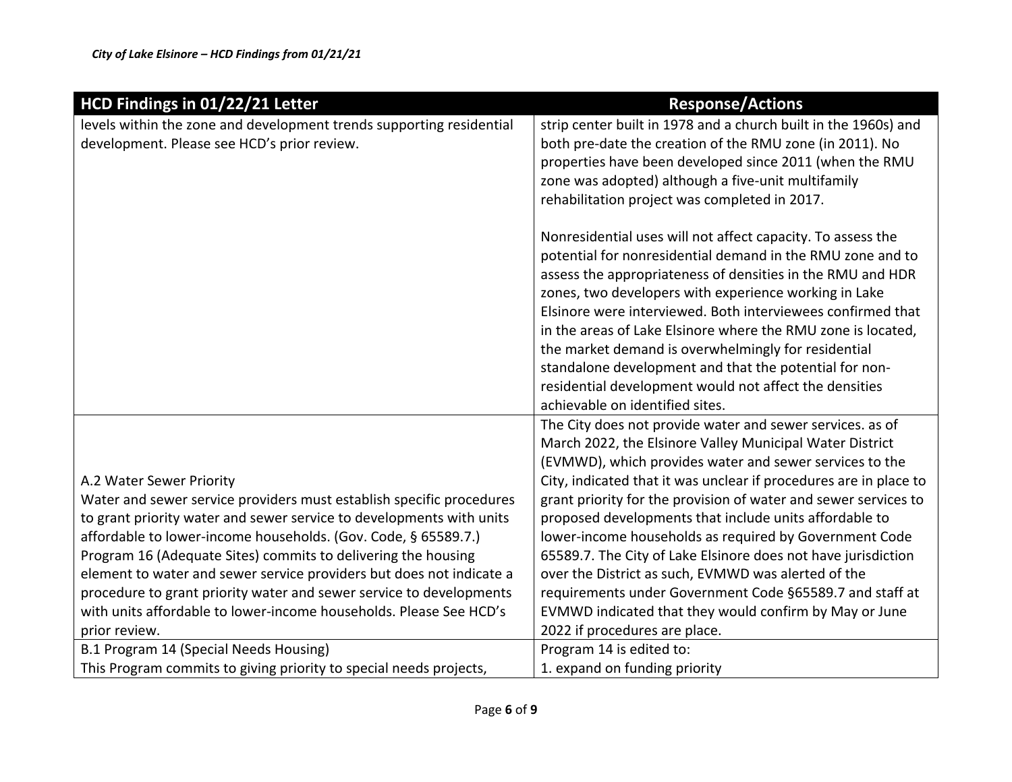| HCD Findings in 01/22/21 Letter                                      | <b>Response/Actions</b>                                           |
|----------------------------------------------------------------------|-------------------------------------------------------------------|
| levels within the zone and development trends supporting residential | strip center built in 1978 and a church built in the 1960s) and   |
| development. Please see HCD's prior review.                          | both pre-date the creation of the RMU zone (in 2011). No          |
|                                                                      | properties have been developed since 2011 (when the RMU           |
|                                                                      | zone was adopted) although a five-unit multifamily                |
|                                                                      | rehabilitation project was completed in 2017.                     |
|                                                                      | Nonresidential uses will not affect capacity. To assess the       |
|                                                                      | potential for nonresidential demand in the RMU zone and to        |
|                                                                      | assess the appropriateness of densities in the RMU and HDR        |
|                                                                      | zones, two developers with experience working in Lake             |
|                                                                      | Elsinore were interviewed. Both interviewees confirmed that       |
|                                                                      | in the areas of Lake Elsinore where the RMU zone is located,      |
|                                                                      | the market demand is overwhelmingly for residential               |
|                                                                      | standalone development and that the potential for non-            |
|                                                                      | residential development would not affect the densities            |
|                                                                      | achievable on identified sites.                                   |
|                                                                      | The City does not provide water and sewer services. as of         |
|                                                                      | March 2022, the Elsinore Valley Municipal Water District          |
|                                                                      | (EVMWD), which provides water and sewer services to the           |
| A.2 Water Sewer Priority                                             | City, indicated that it was unclear if procedures are in place to |
| Water and sewer service providers must establish specific procedures | grant priority for the provision of water and sewer services to   |
| to grant priority water and sewer service to developments with units | proposed developments that include units affordable to            |
| affordable to lower-income households. (Gov. Code, § 65589.7.)       | lower-income households as required by Government Code            |
| Program 16 (Adequate Sites) commits to delivering the housing        | 65589.7. The City of Lake Elsinore does not have jurisdiction     |
| element to water and sewer service providers but does not indicate a | over the District as such, EVMWD was alerted of the               |
| procedure to grant priority water and sewer service to developments  | requirements under Government Code §65589.7 and staff at          |
| with units affordable to lower-income households. Please See HCD's   | EVMWD indicated that they would confirm by May or June            |
| prior review.                                                        | 2022 if procedures are place.                                     |
| B.1 Program 14 (Special Needs Housing)                               | Program 14 is edited to:                                          |
| This Program commits to giving priority to special needs projects,   | 1. expand on funding priority                                     |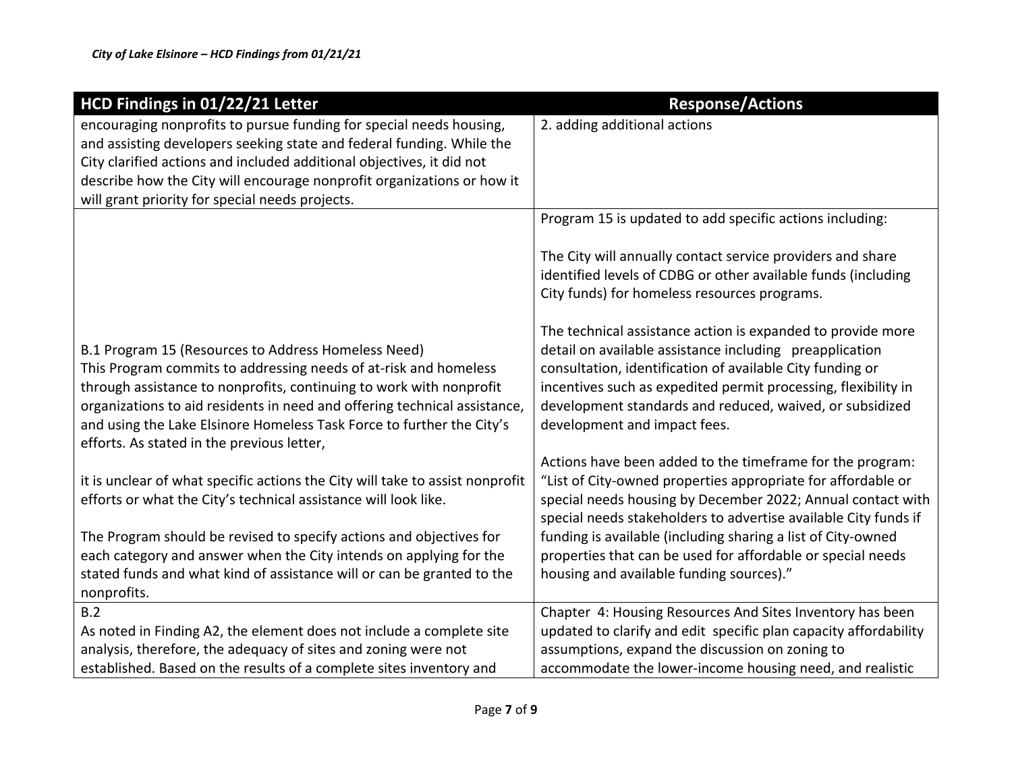| HCD Findings in 01/22/21 Letter                                               | <b>Response/Actions</b>                                          |
|-------------------------------------------------------------------------------|------------------------------------------------------------------|
| encouraging nonprofits to pursue funding for special needs housing,           | 2. adding additional actions                                     |
| and assisting developers seeking state and federal funding. While the         |                                                                  |
| City clarified actions and included additional objectives, it did not         |                                                                  |
| describe how the City will encourage nonprofit organizations or how it        |                                                                  |
| will grant priority for special needs projects.                               |                                                                  |
|                                                                               | Program 15 is updated to add specific actions including:         |
|                                                                               | The City will annually contact service providers and share       |
|                                                                               | identified levels of CDBG or other available funds (including    |
|                                                                               | City funds) for homeless resources programs.                     |
|                                                                               | The technical assistance action is expanded to provide more      |
| B.1 Program 15 (Resources to Address Homeless Need)                           | detail on available assistance including preapplication          |
| This Program commits to addressing needs of at-risk and homeless              | consultation, identification of available City funding or        |
| through assistance to nonprofits, continuing to work with nonprofit           | incentives such as expedited permit processing, flexibility in   |
| organizations to aid residents in need and offering technical assistance,     | development standards and reduced, waived, or subsidized         |
| and using the Lake Elsinore Homeless Task Force to further the City's         | development and impact fees.                                     |
| efforts. As stated in the previous letter,                                    |                                                                  |
|                                                                               | Actions have been added to the timeframe for the program:        |
| it is unclear of what specific actions the City will take to assist nonprofit | "List of City-owned properties appropriate for affordable or     |
| efforts or what the City's technical assistance will look like.               | special needs housing by December 2022; Annual contact with      |
|                                                                               | special needs stakeholders to advertise available City funds if  |
| The Program should be revised to specify actions and objectives for           | funding is available (including sharing a list of City-owned     |
| each category and answer when the City intends on applying for the            | properties that can be used for affordable or special needs      |
| stated funds and what kind of assistance will or can be granted to the        | housing and available funding sources)."                         |
| nonprofits.                                                                   |                                                                  |
| B.2                                                                           | Chapter 4: Housing Resources And Sites Inventory has been        |
| As noted in Finding A2, the element does not include a complete site          | updated to clarify and edit specific plan capacity affordability |
| analysis, therefore, the adequacy of sites and zoning were not                | assumptions, expand the discussion on zoning to                  |
| established. Based on the results of a complete sites inventory and           | accommodate the lower-income housing need, and realistic         |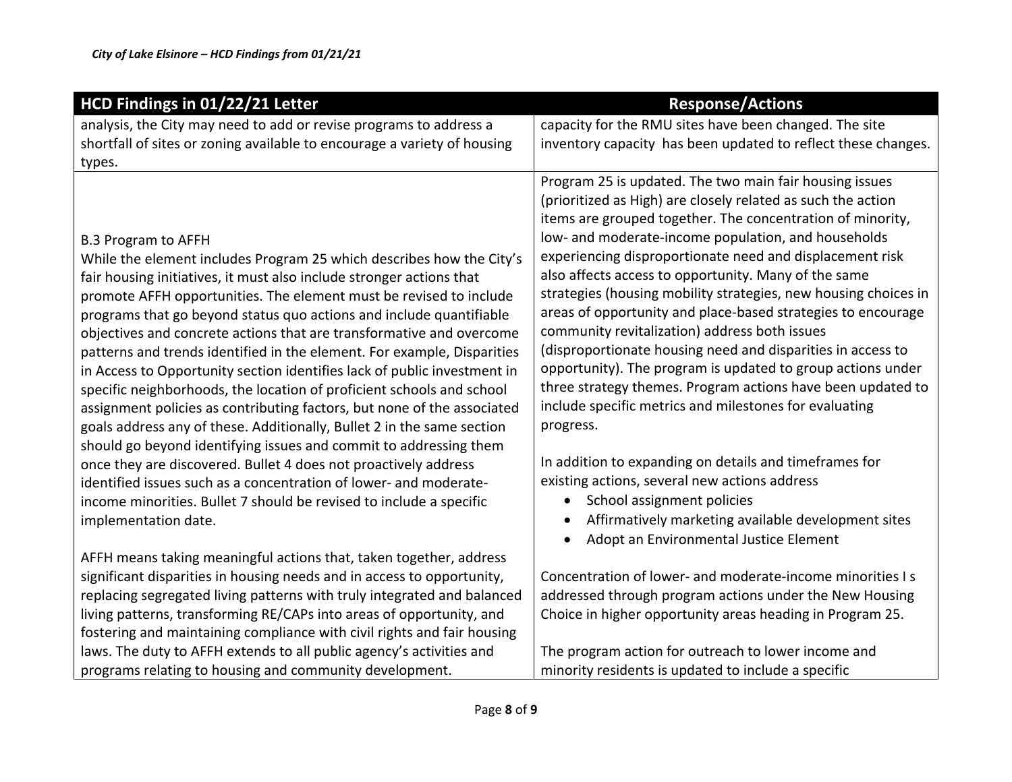| HCD Findings in 01/22/21 Letter                                                                                                                                                                                                                                                                                                                                                                                                                                                                                                                                                                                                                                                                                                                                                                                                                                                                                                                                                                                                                                                                  | <b>Response/Actions</b>                                                                                                                                                                                                                                                                                                                                                                                                                                                                                                                                                                                                                                                                                                                                                                                                                                                                                                                                                                                                  |
|--------------------------------------------------------------------------------------------------------------------------------------------------------------------------------------------------------------------------------------------------------------------------------------------------------------------------------------------------------------------------------------------------------------------------------------------------------------------------------------------------------------------------------------------------------------------------------------------------------------------------------------------------------------------------------------------------------------------------------------------------------------------------------------------------------------------------------------------------------------------------------------------------------------------------------------------------------------------------------------------------------------------------------------------------------------------------------------------------|--------------------------------------------------------------------------------------------------------------------------------------------------------------------------------------------------------------------------------------------------------------------------------------------------------------------------------------------------------------------------------------------------------------------------------------------------------------------------------------------------------------------------------------------------------------------------------------------------------------------------------------------------------------------------------------------------------------------------------------------------------------------------------------------------------------------------------------------------------------------------------------------------------------------------------------------------------------------------------------------------------------------------|
| analysis, the City may need to add or revise programs to address a                                                                                                                                                                                                                                                                                                                                                                                                                                                                                                                                                                                                                                                                                                                                                                                                                                                                                                                                                                                                                               | capacity for the RMU sites have been changed. The site                                                                                                                                                                                                                                                                                                                                                                                                                                                                                                                                                                                                                                                                                                                                                                                                                                                                                                                                                                   |
| shortfall of sites or zoning available to encourage a variety of housing                                                                                                                                                                                                                                                                                                                                                                                                                                                                                                                                                                                                                                                                                                                                                                                                                                                                                                                                                                                                                         | inventory capacity has been updated to reflect these changes.                                                                                                                                                                                                                                                                                                                                                                                                                                                                                                                                                                                                                                                                                                                                                                                                                                                                                                                                                            |
| types.                                                                                                                                                                                                                                                                                                                                                                                                                                                                                                                                                                                                                                                                                                                                                                                                                                                                                                                                                                                                                                                                                           |                                                                                                                                                                                                                                                                                                                                                                                                                                                                                                                                                                                                                                                                                                                                                                                                                                                                                                                                                                                                                          |
| <b>B.3 Program to AFFH</b><br>While the element includes Program 25 which describes how the City's<br>fair housing initiatives, it must also include stronger actions that<br>promote AFFH opportunities. The element must be revised to include<br>programs that go beyond status quo actions and include quantifiable<br>objectives and concrete actions that are transformative and overcome<br>patterns and trends identified in the element. For example, Disparities<br>in Access to Opportunity section identifies lack of public investment in<br>specific neighborhoods, the location of proficient schools and school<br>assignment policies as contributing factors, but none of the associated<br>goals address any of these. Additionally, Bullet 2 in the same section<br>should go beyond identifying issues and commit to addressing them<br>once they are discovered. Bullet 4 does not proactively address<br>identified issues such as a concentration of lower- and moderate-<br>income minorities. Bullet 7 should be revised to include a specific<br>implementation date. | Program 25 is updated. The two main fair housing issues<br>(prioritized as High) are closely related as such the action<br>items are grouped together. The concentration of minority,<br>low- and moderate-income population, and households<br>experiencing disproportionate need and displacement risk<br>also affects access to opportunity. Many of the same<br>strategies (housing mobility strategies, new housing choices in<br>areas of opportunity and place-based strategies to encourage<br>community revitalization) address both issues<br>(disproportionate housing need and disparities in access to<br>opportunity). The program is updated to group actions under<br>three strategy themes. Program actions have been updated to<br>include specific metrics and milestones for evaluating<br>progress.<br>In addition to expanding on details and timeframes for<br>existing actions, several new actions address<br>School assignment policies<br>Affirmatively marketing available development sites |
| AFFH means taking meaningful actions that, taken together, address                                                                                                                                                                                                                                                                                                                                                                                                                                                                                                                                                                                                                                                                                                                                                                                                                                                                                                                                                                                                                               | Adopt an Environmental Justice Element                                                                                                                                                                                                                                                                                                                                                                                                                                                                                                                                                                                                                                                                                                                                                                                                                                                                                                                                                                                   |
| significant disparities in housing needs and in access to opportunity,                                                                                                                                                                                                                                                                                                                                                                                                                                                                                                                                                                                                                                                                                                                                                                                                                                                                                                                                                                                                                           | Concentration of lower- and moderate-income minorities I s                                                                                                                                                                                                                                                                                                                                                                                                                                                                                                                                                                                                                                                                                                                                                                                                                                                                                                                                                               |
| replacing segregated living patterns with truly integrated and balanced                                                                                                                                                                                                                                                                                                                                                                                                                                                                                                                                                                                                                                                                                                                                                                                                                                                                                                                                                                                                                          | addressed through program actions under the New Housing                                                                                                                                                                                                                                                                                                                                                                                                                                                                                                                                                                                                                                                                                                                                                                                                                                                                                                                                                                  |
| living patterns, transforming RE/CAPs into areas of opportunity, and                                                                                                                                                                                                                                                                                                                                                                                                                                                                                                                                                                                                                                                                                                                                                                                                                                                                                                                                                                                                                             | Choice in higher opportunity areas heading in Program 25.                                                                                                                                                                                                                                                                                                                                                                                                                                                                                                                                                                                                                                                                                                                                                                                                                                                                                                                                                                |
| fostering and maintaining compliance with civil rights and fair housing                                                                                                                                                                                                                                                                                                                                                                                                                                                                                                                                                                                                                                                                                                                                                                                                                                                                                                                                                                                                                          |                                                                                                                                                                                                                                                                                                                                                                                                                                                                                                                                                                                                                                                                                                                                                                                                                                                                                                                                                                                                                          |
| laws. The duty to AFFH extends to all public agency's activities and                                                                                                                                                                                                                                                                                                                                                                                                                                                                                                                                                                                                                                                                                                                                                                                                                                                                                                                                                                                                                             | The program action for outreach to lower income and                                                                                                                                                                                                                                                                                                                                                                                                                                                                                                                                                                                                                                                                                                                                                                                                                                                                                                                                                                      |
| programs relating to housing and community development.                                                                                                                                                                                                                                                                                                                                                                                                                                                                                                                                                                                                                                                                                                                                                                                                                                                                                                                                                                                                                                          | minority residents is updated to include a specific                                                                                                                                                                                                                                                                                                                                                                                                                                                                                                                                                                                                                                                                                                                                                                                                                                                                                                                                                                      |